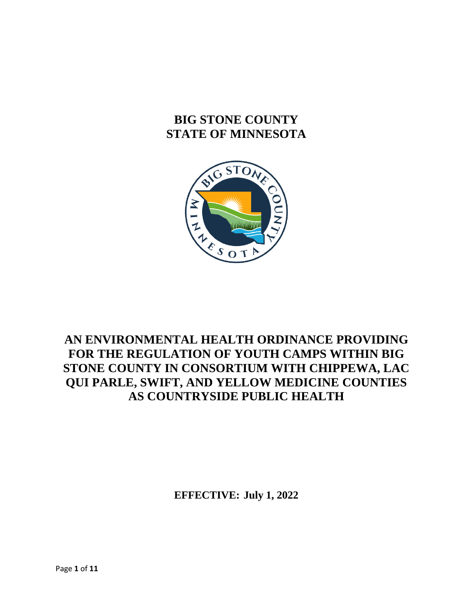# **BIG STONE COUNTY STATE OF MINNESOTA**



## **AN ENVIRONMENTAL HEALTH ORDINANCE PROVIDING FOR THE REGULATION OF YOUTH CAMPS WITHIN BIG STONE COUNTY IN CONSORTIUM WITH CHIPPEWA, LAC QUI PARLE, SWIFT, AND YELLOW MEDICINE COUNTIES AS COUNTRYSIDE PUBLIC HEALTH**

**EFFECTIVE: July 1, 2022**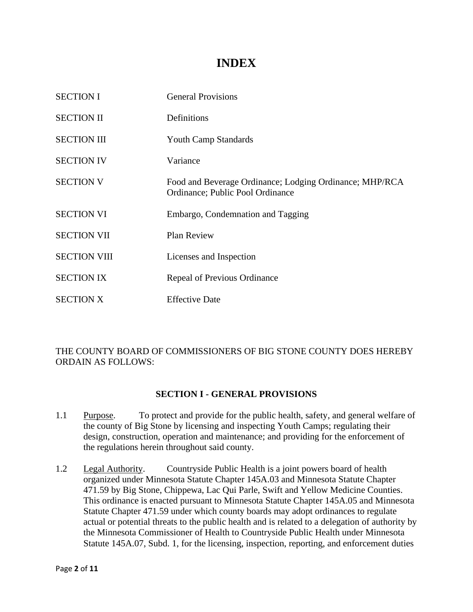## **INDEX**

| <b>SECTION I</b>    | <b>General Provisions</b>                                                                   |
|---------------------|---------------------------------------------------------------------------------------------|
| <b>SECTION II</b>   | Definitions                                                                                 |
| <b>SECTION III</b>  | <b>Youth Camp Standards</b>                                                                 |
| <b>SECTION IV</b>   | Variance                                                                                    |
| <b>SECTION V</b>    | Food and Beverage Ordinance; Lodging Ordinance; MHP/RCA<br>Ordinance; Public Pool Ordinance |
| <b>SECTION VI</b>   | Embargo, Condemnation and Tagging                                                           |
| <b>SECTION VII</b>  | <b>Plan Review</b>                                                                          |
| <b>SECTION VIII</b> | Licenses and Inspection                                                                     |
| <b>SECTION IX</b>   | Repeal of Previous Ordinance                                                                |
| <b>SECTION X</b>    | <b>Effective Date</b>                                                                       |

## THE COUNTY BOARD OF COMMISSIONERS OF BIG STONE COUNTY DOES HEREBY ORDAIN AS FOLLOWS:

## **SECTION I - GENERAL PROVISIONS**

- 1.1 Purpose. To protect and provide for the public health, safety, and general welfare of the county of Big Stone by licensing and inspecting Youth Camps; regulating their design, construction, operation and maintenance; and providing for the enforcement of the regulations herein throughout said county.
- 1.2 Legal Authority. Countryside Public Health is a joint powers board of health organized under Minnesota Statute Chapter 145A.03 and Minnesota Statute Chapter 471.59 by Big Stone, Chippewa, Lac Qui Parle, Swift and Yellow Medicine Counties. This ordinance is enacted pursuant to Minnesota Statute Chapter 145A.05 and Minnesota Statute Chapter 471.59 under which county boards may adopt ordinances to regulate actual or potential threats to the public health and is related to a delegation of authority by the Minnesota Commissioner of Health to Countryside Public Health under Minnesota Statute 145A.07, Subd. 1, for the licensing, inspection, reporting, and enforcement duties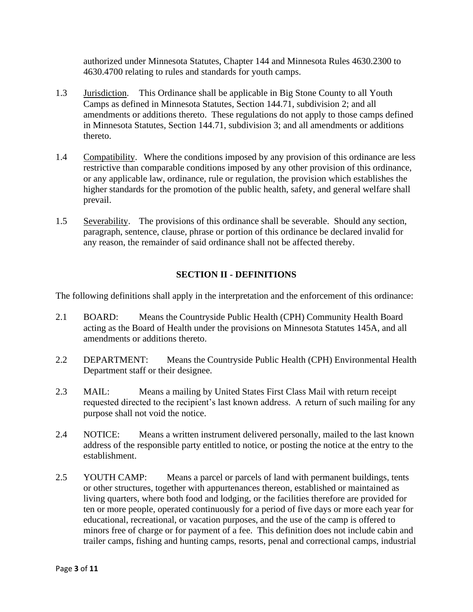authorized under Minnesota Statutes, Chapter 144 and Minnesota Rules 4630.2300 to 4630.4700 relating to rules and standards for youth camps.

- 1.3 Jurisdiction. This Ordinance shall be applicable in Big Stone County to all Youth Camps as defined in Minnesota Statutes, Section 144.71, subdivision 2; and all amendments or additions thereto. These regulations do not apply to those camps defined in Minnesota Statutes, Section 144.71, subdivision 3; and all amendments or additions thereto.
- 1.4 Compatibility. Where the conditions imposed by any provision of this ordinance are less restrictive than comparable conditions imposed by any other provision of this ordinance, or any applicable law, ordinance, rule or regulation, the provision which establishes the higher standards for the promotion of the public health, safety, and general welfare shall prevail.
- 1.5 Severability. The provisions of this ordinance shall be severable. Should any section, paragraph, sentence, clause, phrase or portion of this ordinance be declared invalid for any reason, the remainder of said ordinance shall not be affected thereby.

## **SECTION II - DEFINITIONS**

The following definitions shall apply in the interpretation and the enforcement of this ordinance:

- 2.1 BOARD: Means the Countryside Public Health (CPH) Community Health Board acting as the Board of Health under the provisions on Minnesota Statutes 145A, and all amendments or additions thereto.
- 2.2 DEPARTMENT: Means the Countryside Public Health (CPH) Environmental Health Department staff or their designee.
- 2.3 MAIL: Means a mailing by United States First Class Mail with return receipt requested directed to the recipient's last known address. A return of such mailing for any purpose shall not void the notice.
- 2.4 NOTICE: Means a written instrument delivered personally, mailed to the last known address of the responsible party entitled to notice, or posting the notice at the entry to the establishment.
- 2.5 YOUTH CAMP: Means a parcel or parcels of land with permanent buildings, tents or other structures, together with appurtenances thereon, established or maintained as living quarters, where both food and lodging, or the facilities therefore are provided for ten or more people, operated continuously for a period of five days or more each year for educational, recreational, or vacation purposes, and the use of the camp is offered to minors free of charge or for payment of a fee. This definition does not include cabin and trailer camps, fishing and hunting camps, resorts, penal and correctional camps, industrial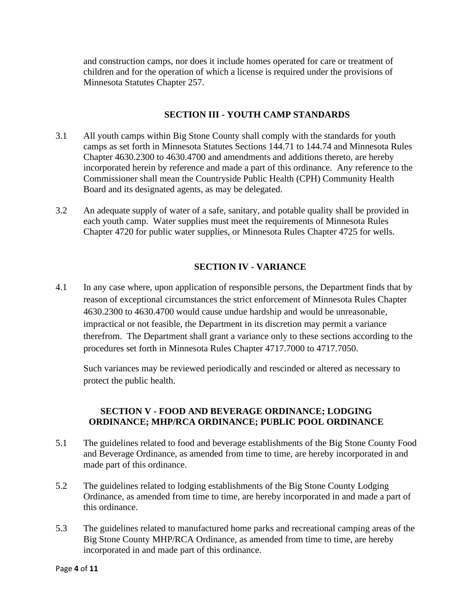and construction camps, nor does it include homes operated for care or treatment of children and for the operation of which a license is required under the provisions of Minnesota Statutes Chapter 257.

### **SECTION III - YOUTH CAMP STANDARDS**

- 3.1 All youth camps within Big Stone County shall comply with the standards for youth camps as set forth in Minnesota Statutes Sections 144.71 to 144.74 and Minnesota Rules Chapter 4630.2300 to 4630.4700 and amendments and additions thereto, are hereby incorporated herein by reference and made a part of this ordinance. Any reference to the Commissioner shall mean the Countryside Public Health (CPH) Community Health Board and its designated agents, as may be delegated.
- 3.2 An adequate supply of water of a safe, sanitary, and potable quality shall be provided in each youth camp. Water supplies must meet the requirements of Minnesota Rules Chapter 4720 for public water supplies, or Minnesota Rules Chapter 4725 for wells.

### **SECTION IV - VARIANCE**

4.1 In any case where, upon application of responsible persons, the Department finds that by reason of exceptional circumstances the strict enforcement of Minnesota Rules Chapter 4630.2300 to 4630.4700 would cause undue hardship and would be unreasonable, impractical or not feasible, the Department in its discretion may permit a variance therefrom. The Department shall grant a variance only to these sections according to the procedures set forth in Minnesota Rules Chapter 4717.7000 to 4717.7050.

Such variances may be reviewed periodically and rescinded or altered as necessary to protect the public health.

## **SECTION V - FOOD AND BEVERAGE ORDINANCE; LODGING ORDINANCE; MHP/RCA ORDINANCE; PUBLIC POOL ORDINANCE**

- 5.1 The guidelines related to food and beverage establishments of the Big Stone County Food and Beverage Ordinance, as amended from time to time, are hereby incorporated in and made part of this ordinance.
- 5.2 The guidelines related to lodging establishments of the Big Stone County Lodging Ordinance, as amended from time to time, are hereby incorporated in and made a part of this ordinance.
- 5.3 The guidelines related to manufactured home parks and recreational camping areas of the Big Stone County MHP/RCA Ordinance, as amended from time to time, are hereby incorporated in and made part of this ordinance.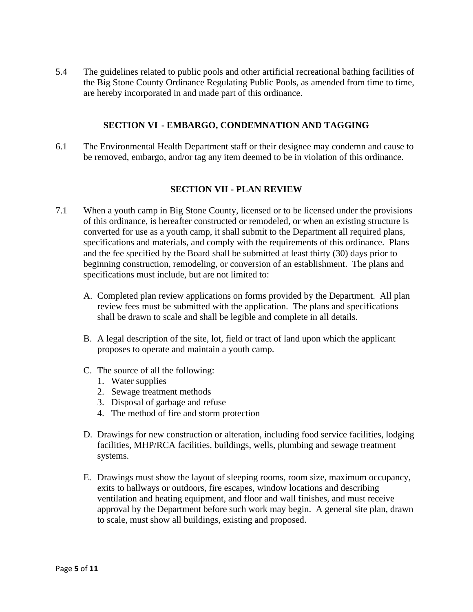5.4 The guidelines related to public pools and other artificial recreational bathing facilities of the Big Stone County Ordinance Regulating Public Pools, as amended from time to time, are hereby incorporated in and made part of this ordinance.

#### **SECTION VI - EMBARGO, CONDEMNATION AND TAGGING**

6.1 The Environmental Health Department staff or their designee may condemn and cause to be removed, embargo, and/or tag any item deemed to be in violation of this ordinance.

#### **SECTION VII - PLAN REVIEW**

- 7.1 When a youth camp in Big Stone County, licensed or to be licensed under the provisions of this ordinance, is hereafter constructed or remodeled, or when an existing structure is converted for use as a youth camp, it shall submit to the Department all required plans, specifications and materials, and comply with the requirements of this ordinance. Plans and the fee specified by the Board shall be submitted at least thirty (30) days prior to beginning construction, remodeling, or conversion of an establishment. The plans and specifications must include, but are not limited to:
	- A. Completed plan review applications on forms provided by the Department. All plan review fees must be submitted with the application. The plans and specifications shall be drawn to scale and shall be legible and complete in all details.
	- B. A legal description of the site, lot, field or tract of land upon which the applicant proposes to operate and maintain a youth camp.
	- C. The source of all the following:
		- 1. Water supplies
		- 2. Sewage treatment methods
		- 3. Disposal of garbage and refuse
		- 4. The method of fire and storm protection
	- D. Drawings for new construction or alteration, including food service facilities, lodging facilities, MHP/RCA facilities, buildings, wells, plumbing and sewage treatment systems.
	- E. Drawings must show the layout of sleeping rooms, room size, maximum occupancy, exits to hallways or outdoors, fire escapes, window locations and describing ventilation and heating equipment, and floor and wall finishes, and must receive approval by the Department before such work may begin. A general site plan, drawn to scale, must show all buildings, existing and proposed.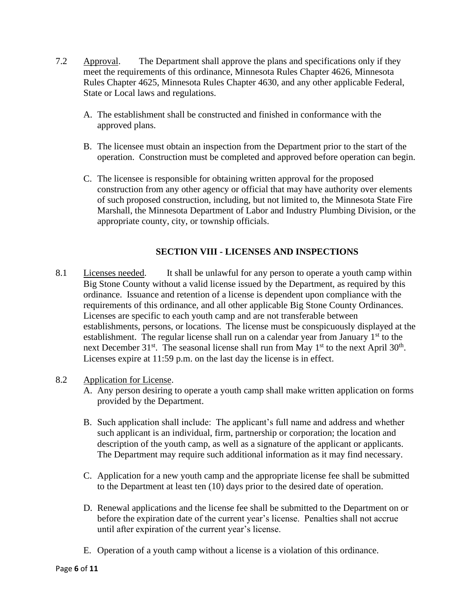- 7.2 Approval. The Department shall approve the plans and specifications only if they meet the requirements of this ordinance, Minnesota Rules Chapter 4626, Minnesota Rules Chapter 4625, Minnesota Rules Chapter 4630, and any other applicable Federal, State or Local laws and regulations.
	- A. The establishment shall be constructed and finished in conformance with the approved plans.
	- B. The licensee must obtain an inspection from the Department prior to the start of the operation. Construction must be completed and approved before operation can begin.
	- C. The licensee is responsible for obtaining written approval for the proposed construction from any other agency or official that may have authority over elements of such proposed construction, including, but not limited to, the Minnesota State Fire Marshall, the Minnesota Department of Labor and Industry Plumbing Division, or the appropriate county, city, or township officials.

## **SECTION VIII - LICENSES AND INSPECTIONS**

8.1 Licenses needed. It shall be unlawful for any person to operate a youth camp within Big Stone County without a valid license issued by the Department, as required by this ordinance. Issuance and retention of a license is dependent upon compliance with the requirements of this ordinance, and all other applicable Big Stone County Ordinances. Licenses are specific to each youth camp and are not transferable between establishments, persons, or locations. The license must be conspicuously displayed at the establishment. The regular license shall run on a calendar year from January  $1<sup>st</sup>$  to the next December  $31^{st}$ . The seasonal license shall run from May  $1^{st}$  to the next April  $30^{th}$ . Licenses expire at 11:59 p.m. on the last day the license is in effect.

## 8.2 Application for License.

- A. Any person desiring to operate a youth camp shall make written application on forms provided by the Department.
- B. Such application shall include: The applicant's full name and address and whether such applicant is an individual, firm, partnership or corporation; the location and description of the youth camp, as well as a signature of the applicant or applicants. The Department may require such additional information as it may find necessary.
- C. Application for a new youth camp and the appropriate license fee shall be submitted to the Department at least ten (10) days prior to the desired date of operation.
- D. Renewal applications and the license fee shall be submitted to the Department on or before the expiration date of the current year's license. Penalties shall not accrue until after expiration of the current year's license.
- E. Operation of a youth camp without a license is a violation of this ordinance.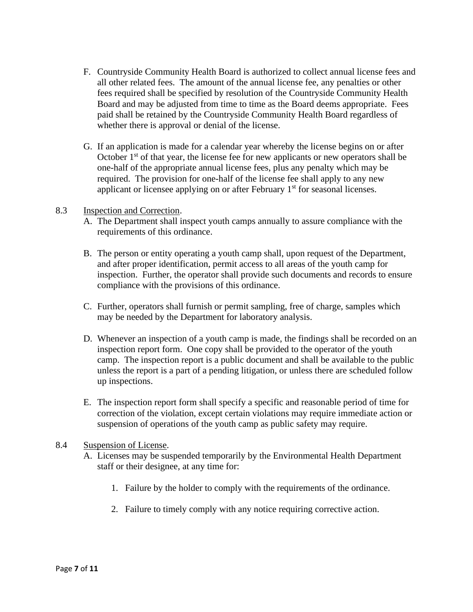- F. Countryside Community Health Board is authorized to collect annual license fees and all other related fees. The amount of the annual license fee, any penalties or other fees required shall be specified by resolution of the Countryside Community Health Board and may be adjusted from time to time as the Board deems appropriate. Fees paid shall be retained by the Countryside Community Health Board regardless of whether there is approval or denial of the license.
- G. If an application is made for a calendar year whereby the license begins on or after October  $1<sup>st</sup>$  of that year, the license fee for new applicants or new operators shall be one-half of the appropriate annual license fees, plus any penalty which may be required. The provision for one-half of the license fee shall apply to any new applicant or licensee applying on or after February 1<sup>st</sup> for seasonal licenses.

#### 8.3 Inspection and Correction.

- A. The Department shall inspect youth camps annually to assure compliance with the requirements of this ordinance.
- B. The person or entity operating a youth camp shall, upon request of the Department, and after proper identification, permit access to all areas of the youth camp for inspection. Further, the operator shall provide such documents and records to ensure compliance with the provisions of this ordinance.
- C. Further, operators shall furnish or permit sampling, free of charge, samples which may be needed by the Department for laboratory analysis.
- D. Whenever an inspection of a youth camp is made, the findings shall be recorded on an inspection report form. One copy shall be provided to the operator of the youth camp. The inspection report is a public document and shall be available to the public unless the report is a part of a pending litigation, or unless there are scheduled follow up inspections.
- E. The inspection report form shall specify a specific and reasonable period of time for correction of the violation, except certain violations may require immediate action or suspension of operations of the youth camp as public safety may require.

#### 8.4 Suspension of License.

- A. Licenses may be suspended temporarily by the Environmental Health Department staff or their designee, at any time for:
	- 1. Failure by the holder to comply with the requirements of the ordinance.
	- 2. Failure to timely comply with any notice requiring corrective action.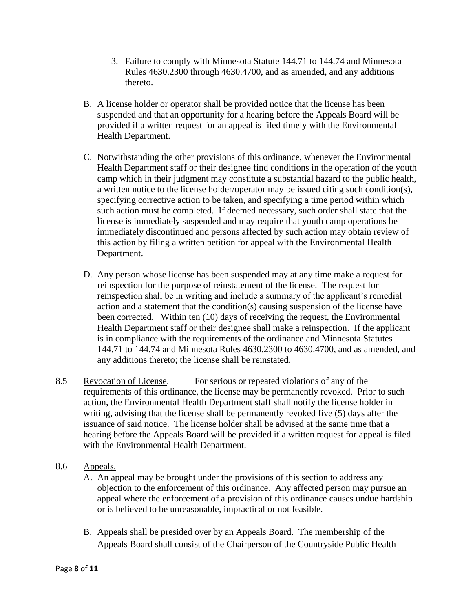- 3. Failure to comply with Minnesota Statute 144.71 to 144.74 and Minnesota Rules 4630.2300 through 4630.4700, and as amended, and any additions thereto.
- B. A license holder or operator shall be provided notice that the license has been suspended and that an opportunity for a hearing before the Appeals Board will be provided if a written request for an appeal is filed timely with the Environmental Health Department.
- C. Notwithstanding the other provisions of this ordinance, whenever the Environmental Health Department staff or their designee find conditions in the operation of the youth camp which in their judgment may constitute a substantial hazard to the public health, a written notice to the license holder/operator may be issued citing such condition(s), specifying corrective action to be taken, and specifying a time period within which such action must be completed. If deemed necessary, such order shall state that the license is immediately suspended and may require that youth camp operations be immediately discontinued and persons affected by such action may obtain review of this action by filing a written petition for appeal with the Environmental Health Department.
- D. Any person whose license has been suspended may at any time make a request for reinspection for the purpose of reinstatement of the license. The request for reinspection shall be in writing and include a summary of the applicant's remedial action and a statement that the condition(s) causing suspension of the license have been corrected. Within ten (10) days of receiving the request, the Environmental Health Department staff or their designee shall make a reinspection. If the applicant is in compliance with the requirements of the ordinance and Minnesota Statutes 144.71 to 144.74 and Minnesota Rules 4630.2300 to 4630.4700, and as amended, and any additions thereto; the license shall be reinstated.
- 8.5 Revocation of License. For serious or repeated violations of any of the requirements of this ordinance, the license may be permanently revoked. Prior to such action, the Environmental Health Department staff shall notify the license holder in writing, advising that the license shall be permanently revoked five (5) days after the issuance of said notice. The license holder shall be advised at the same time that a hearing before the Appeals Board will be provided if a written request for appeal is filed with the Environmental Health Department.
- 8.6 Appeals.
	- A. An appeal may be brought under the provisions of this section to address any objection to the enforcement of this ordinance. Any affected person may pursue an appeal where the enforcement of a provision of this ordinance causes undue hardship or is believed to be unreasonable, impractical or not feasible.
	- B. Appeals shall be presided over by an Appeals Board. The membership of the Appeals Board shall consist of the Chairperson of the Countryside Public Health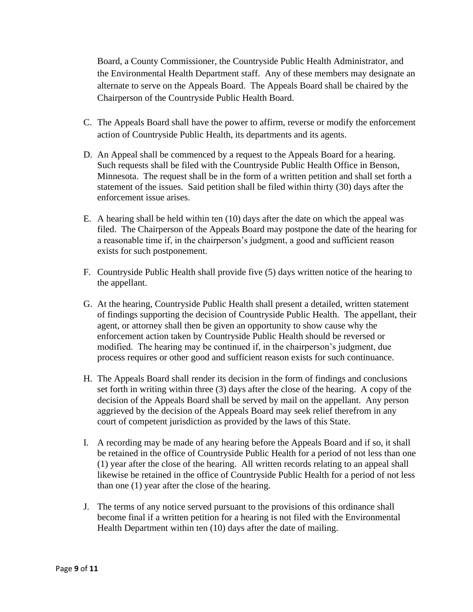Board, a County Commissioner, the Countryside Public Health Administrator, and the Environmental Health Department staff. Any of these members may designate an alternate to serve on the Appeals Board. The Appeals Board shall be chaired by the Chairperson of the Countryside Public Health Board.

- C. The Appeals Board shall have the power to affirm, reverse or modify the enforcement action of Countryside Public Health, its departments and its agents.
- D. An Appeal shall be commenced by a request to the Appeals Board for a hearing. Such requests shall be filed with the Countryside Public Health Office in Benson, Minnesota. The request shall be in the form of a written petition and shall set forth a statement of the issues. Said petition shall be filed within thirty (30) days after the enforcement issue arises.
- E. A hearing shall be held within ten (10) days after the date on which the appeal was filed. The Chairperson of the Appeals Board may postpone the date of the hearing for a reasonable time if, in the chairperson's judgment, a good and sufficient reason exists for such postponement.
- F. Countryside Public Health shall provide five (5) days written notice of the hearing to the appellant.
- G. At the hearing, Countryside Public Health shall present a detailed, written statement of findings supporting the decision of Countryside Public Health. The appellant, their agent, or attorney shall then be given an opportunity to show cause why the enforcement action taken by Countryside Public Health should be reversed or modified. The hearing may be continued if, in the chairperson's judgment, due process requires or other good and sufficient reason exists for such continuance.
- H. The Appeals Board shall render its decision in the form of findings and conclusions set forth in writing within three (3) days after the close of the hearing. A copy of the decision of the Appeals Board shall be served by mail on the appellant. Any person aggrieved by the decision of the Appeals Board may seek relief therefrom in any court of competent jurisdiction as provided by the laws of this State.
- I. A recording may be made of any hearing before the Appeals Board and if so, it shall be retained in the office of Countryside Public Health for a period of not less than one (1) year after the close of the hearing. All written records relating to an appeal shall likewise be retained in the office of Countryside Public Health for a period of not less than one (1) year after the close of the hearing.
- J. The terms of any notice served pursuant to the provisions of this ordinance shall become final if a written petition for a hearing is not filed with the Environmental Health Department within ten (10) days after the date of mailing.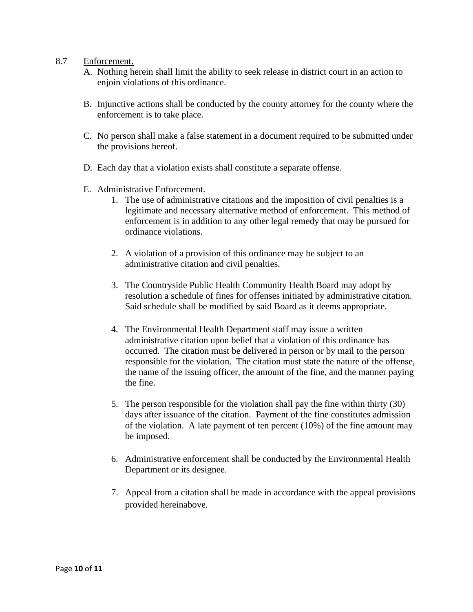#### 8.7 Enforcement.

- A. Nothing herein shall limit the ability to seek release in district court in an action to enjoin violations of this ordinance.
- B. Injunctive actions shall be conducted by the county attorney for the county where the enforcement is to take place.
- C. No person shall make a false statement in a document required to be submitted under the provisions hereof.
- D. Each day that a violation exists shall constitute a separate offense.
- E. Administrative Enforcement.
	- 1. The use of administrative citations and the imposition of civil penalties is a legitimate and necessary alternative method of enforcement. This method of enforcement is in addition to any other legal remedy that may be pursued for ordinance violations.
	- 2. A violation of a provision of this ordinance may be subject to an administrative citation and civil penalties.
	- 3. The Countryside Public Health Community Health Board may adopt by resolution a schedule of fines for offenses initiated by administrative citation. Said schedule shall be modified by said Board as it deems appropriate.
	- 4. The Environmental Health Department staff may issue a written administrative citation upon belief that a violation of this ordinance has occurred. The citation must be delivered in person or by mail to the person responsible for the violation. The citation must state the nature of the offense, the name of the issuing officer, the amount of the fine, and the manner paying the fine.
	- 5. The person responsible for the violation shall pay the fine within thirty (30) days after issuance of the citation. Payment of the fine constitutes admission of the violation. A late payment of ten percent (10%) of the fine amount may be imposed.
	- 6. Administrative enforcement shall be conducted by the Environmental Health Department or its designee.
	- 7. Appeal from a citation shall be made in accordance with the appeal provisions provided hereinabove.